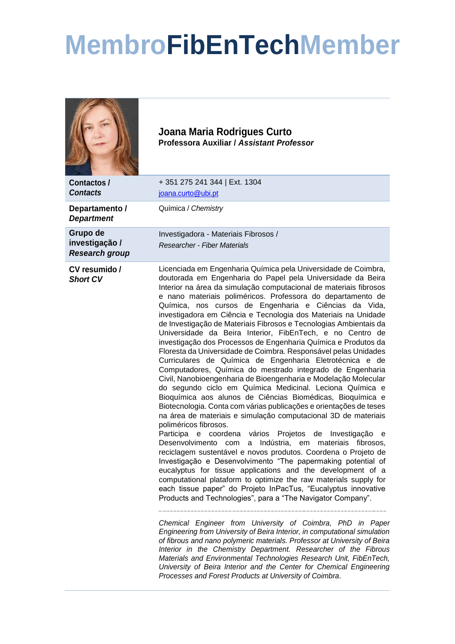## **MembroFibEnTechMember**

|                                                     | Joana Maria Rodrigues Curto<br>Professora Auxiliar / Assistant Professor                                                                                                                                                                                                                                                                                                                                                                                                                                                                                                                                                                                                                                                                                                                                                                                                                                                                                                                                                                                                                                                                                                                                                                                                                                                                                                                                                                                                                                                                                                                                                                                                                                                                                                                                                                                                                                                                                                                                                                                                                                                                                                                               |
|-----------------------------------------------------|--------------------------------------------------------------------------------------------------------------------------------------------------------------------------------------------------------------------------------------------------------------------------------------------------------------------------------------------------------------------------------------------------------------------------------------------------------------------------------------------------------------------------------------------------------------------------------------------------------------------------------------------------------------------------------------------------------------------------------------------------------------------------------------------------------------------------------------------------------------------------------------------------------------------------------------------------------------------------------------------------------------------------------------------------------------------------------------------------------------------------------------------------------------------------------------------------------------------------------------------------------------------------------------------------------------------------------------------------------------------------------------------------------------------------------------------------------------------------------------------------------------------------------------------------------------------------------------------------------------------------------------------------------------------------------------------------------------------------------------------------------------------------------------------------------------------------------------------------------------------------------------------------------------------------------------------------------------------------------------------------------------------------------------------------------------------------------------------------------------------------------------------------------------------------------------------------------|
| Contactos /<br><b>Contacts</b>                      | +351 275 241 344   Ext. 1304<br>joana.curto@ubi.pt                                                                                                                                                                                                                                                                                                                                                                                                                                                                                                                                                                                                                                                                                                                                                                                                                                                                                                                                                                                                                                                                                                                                                                                                                                                                                                                                                                                                                                                                                                                                                                                                                                                                                                                                                                                                                                                                                                                                                                                                                                                                                                                                                     |
| Departamento /<br><b>Department</b>                 | Química / Chemistry                                                                                                                                                                                                                                                                                                                                                                                                                                                                                                                                                                                                                                                                                                                                                                                                                                                                                                                                                                                                                                                                                                                                                                                                                                                                                                                                                                                                                                                                                                                                                                                                                                                                                                                                                                                                                                                                                                                                                                                                                                                                                                                                                                                    |
| Grupo de<br>investigação /<br><b>Research group</b> | Investigadora - Materiais Fibrosos /<br><b>Researcher - Fiber Materials</b>                                                                                                                                                                                                                                                                                                                                                                                                                                                                                                                                                                                                                                                                                                                                                                                                                                                                                                                                                                                                                                                                                                                                                                                                                                                                                                                                                                                                                                                                                                                                                                                                                                                                                                                                                                                                                                                                                                                                                                                                                                                                                                                            |
| CV resumido /<br><b>Short CV</b>                    | Licenciada em Engenharia Química pela Universidade de Coimbra,<br>doutorada em Engenharia do Papel pela Universidade da Beira<br>Interior na área da simulação computacional de materiais fibrosos<br>e nano materiais poliméricos. Professora do departamento de<br>Química, nos cursos de Engenharia e Ciências da Vida,<br>investigadora em Ciência e Tecnologia dos Materiais na Unidade<br>de Investigação de Materiais Fibrosos e Tecnologias Ambientais da<br>Universidade da Beira Interior, FibEnTech, e no Centro de<br>investigação dos Processos de Engenharia Química e Produtos da<br>Floresta da Universidade de Coimbra. Responsável pelas Unidades<br>Curriculares de Química de Engenharia Eletrotécnica e de<br>Computadores, Química do mestrado integrado de Engenharia<br>Civil, Nanobioengenharia de Bioengenharia e Modelação Molecular<br>do segundo ciclo em Química Medicinal. Leciona Química e<br>Bioquímica aos alunos de Ciências Biomédicas, Bioquímica e<br>Biotecnologia. Conta com várias publicações e orientações de teses<br>na área de materiais e simulação computacional 3D de materiais<br>poliméricos fibrosos.<br>Participa e<br>coordena vários<br>Projetos de<br>Investigação<br>е<br>Desenvolvimento com a Indústria, em materiais fibrosos,<br>reciclagem sustentável e novos produtos. Coordena o Projeto de<br>Investigação e Desenvolvimento "The papermaking potential of<br>eucalyptus for tissue applications and the development of a<br>computational plataform to optimize the raw materials supply for<br>each tissue paper" do Projeto InPacTus, "Eucalyptus innovative<br>Products and Technologies", para a "The Navigator Company".<br>Chemical Engineer from University of Coimbra, PhD in Paper<br>Engineering from University of Beira Interior, in computational simulation<br>of fibrous and nano polymeric materials. Professor at University of Beira<br>Interior in the Chemistry Department. Researcher of the Fibrous<br>Materials and Environmental Technologies Research Unit, FibEnTech,<br>University of Beira Interior and the Center for Chemical Engineering<br>Processes and Forest Products at University of Coimbra. |